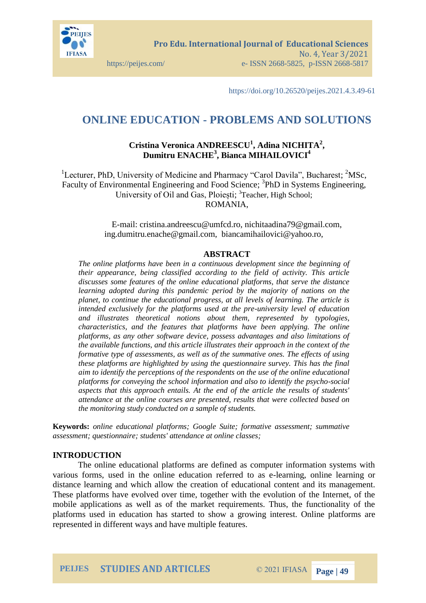

https://doi.org/10.26520/peijes.2021.4.3.49-61

# **ONLINE EDUCATION - PROBLEMS AND SOLUTIONS**

## **Cristina Veronica ANDREESCU<sup>1</sup> , Adina NICHITA<sup>2</sup> , Dumitru ENACHE<sup>3</sup> , Bianca MIHAILOVICI<sup>4</sup>**

<sup>1</sup>Lecturer, PhD, University of Medicine and Pharmacy "Carol Davila", Bucharest;  ${}^{2}$ MSc, Faculty of Environmental Engineering and Food Science; <sup>3</sup>PhD in Systems Engineering, University of Oil and Gas, Ploiești; <sup>3</sup>Teacher, High School; ROMANIA,

> E-mail: cristina.andreescu@umfcd.ro, nichitaadina79@gmail.com, ing.dumitru.enache@gmail.com, biancamihailovici@yahoo.ro,

### **ABSTRACT**

*The online platforms have been in a continuous development since the beginning of their appearance, being classified according to the field of activity. This article discusses some features of the online educational platforms, that serve the distance learning adopted during this pandemic period by the majority of nations on the planet, to continue the educational progress, at all levels of learning. The article is intended exclusively for the platforms used at the pre-university level of education and illustrates theoretical notions about them, represented by typologies, characteristics, and the features that platforms have been applying. The online platforms, as any other software device, possess advantages and also limitations of the available functions, and this article illustrates their approach in the context of the formative type of assessments, as well as of the summative ones. The effects of using these platforms are highlighted by using the questionnaire survey. This has the final aim to identify the perceptions of the respondents on the use of the online educational platforms for conveying the school information and also to identify the psycho-social aspects that this approach entails. At the end of the article the results of students' attendance at the online courses are presented, results that were collected based on the monitoring study conducted on a sample of students.* 

**Keywords:** *online educational platforms; Google Suite; formative assessment; summative assessment; questionnaire; students' attendance at online classes;*

#### **INTRODUCTION**

The online educational platforms are defined as computer information systems with various forms, used in the online education referred to as e-learning, online learning or distance learning and which allow the creation of educational content and its management. These platforms have evolved over time, together with the evolution of the Internet, of the mobile applications as well as of the market requirements. Thus, the functionality of the platforms used in education has started to show a growing interest. Online platforms are represented in different ways and have multiple features.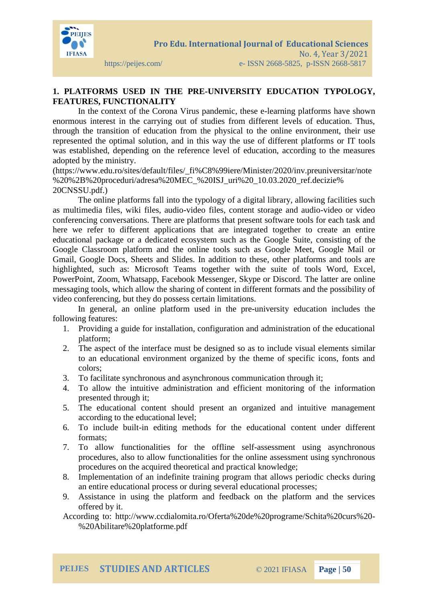

## **1. PLATFORMS USED IN THE PRE-UNIVERSITY EDUCATION TYPOLOGY, FEATURES, FUNCTIONALITY**

In the context of the Corona Virus pandemic, these e-learning platforms have shown enormous interest in the carrying out of studies from different levels of education. Thus, through the transition of education from the physical to the online environment, their use represented the optimal solution, and in this way the use of different platforms or IT tools was established, depending on the reference level of education, according to the measures adopted by the ministry.

(https://www.edu.ro/sites/default/files/\_fi%C8%99iere/Minister/2020/inv.preuniversitar/note %20%2B%20proceduri/adresa%20MEC\_%20ISJ\_uri%20\_10.03.2020\_ref.decizie% 20CNSSU.pdf.)

The online platforms fall into the typology of a digital library, allowing facilities such as multimedia files, wiki files, audio-video files, content storage and audio-video or video conferencing conversations. There are platforms that present software tools for each task and here we refer to different applications that are integrated together to create an entire educational package or a dedicated ecosystem such as the Google Suite, consisting of the Google Classroom platform and the online tools such as Google Meet, Google Mail or Gmail, Google Docs, Sheets and Slides. In addition to these, other platforms and tools are highlighted, such as: Microsoft Teams together with the suite of tools Word, Excel, PowerPoint, Zoom, Whatsapp, Facebook Messenger, Skype or Discord. The latter are online messaging tools, which allow the sharing of content in different formats and the possibility of video conferencing, but they do possess certain limitations.

In general, an online platform used in the pre-university education includes the following features:

- 1. Providing a guide for installation, configuration and administration of the educational platform;
- 2. The aspect of the interface must be designed so as to include visual elements similar to an educational environment organized by the theme of specific icons, fonts and colors;
- 3. To facilitate synchronous and asynchronous communication through it;
- 4. To allow the intuitive administration and efficient monitoring of the information presented through it;
- 5. The educational content should present an organized and intuitive management according to the educational level;
- 6. To include built-in editing methods for the educational content under different formats;
- 7. To allow functionalities for the offline self-assessment using asynchronous procedures, also to allow functionalities for the online assessment using synchronous procedures on the acquired theoretical and practical knowledge;
- 8. Implementation of an indefinite training program that allows periodic checks during an entire educational process or during several educational processes;
- 9. Assistance in using the platform and feedback on the platform and the services offered by it.

According to: http://www.ccdialomita.ro/Oferta%20de%20programe/Schita%20curs%20- %20Abilitare%20platforme.pdf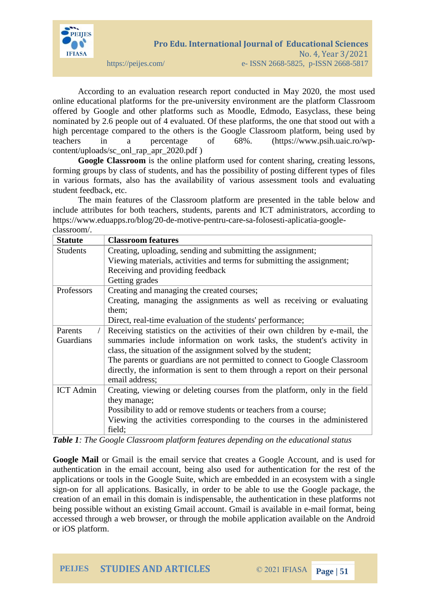

According to an evaluation research report conducted in May 2020, the most used online educational platforms for the pre-university environment are the platform Classroom offered by Google and other platforms such as Moodle, Edmodo, Easyclass, these being nominated by 2.6 people out of 4 evaluated. Of these platforms, the one that stood out with a high percentage compared to the others is the Google Classroom platform, being used by teachers in a percentage of 68%. (https://www.psih.uaic.ro/wpcontent/uploads/sc\_onl\_rap\_apr\_2020.pdf )

**Google Classroom** is the online platform used for content sharing, creating lessons, forming groups by class of students, and has the possibility of posting different types of files in various formats, also has the availability of various assessment tools and evaluating student feedback, etc.

The main features of the Classroom platform are presented in the table below and include attributes for both teachers, students, parents and ICT administrators, according to https://www.eduapps.ro/blog/20-de-motive-pentru-care-sa-folosesti-aplicatia-googleclassroom/.

| <b>Statute</b>   | <b>Classroom features</b>                                                    |
|------------------|------------------------------------------------------------------------------|
| <b>Students</b>  | Creating, uploading, sending and submitting the assignment;                  |
|                  | Viewing materials, activities and terms for submitting the assignment;       |
|                  | Receiving and providing feedback                                             |
|                  | Getting grades                                                               |
| Professors       | Creating and managing the created courses;                                   |
|                  | Creating, managing the assignments as well as receiving or evaluating        |
|                  | them;                                                                        |
|                  | Direct, real-time evaluation of the students' performance;                   |
| Parents          | Receiving statistics on the activities of their own children by e-mail, the  |
| Guardians        | summaries include information on work tasks, the student's activity in       |
|                  | class, the situation of the assignment solved by the student;                |
|                  | The parents or guardians are not permitted to connect to Google Classroom    |
|                  | directly, the information is sent to them through a report on their personal |
|                  | email address;                                                               |
| <b>ICT</b> Admin | Creating, viewing or deleting courses from the platform, only in the field   |
|                  | they manage;                                                                 |
|                  | Possibility to add or remove students or teachers from a course;             |
|                  | Viewing the activities corresponding to the courses in the administered      |
|                  | field;                                                                       |

*Table 1: The Google Classroom platform features depending on the educational status*

**Google Mail** or Gmail is the email service that creates a Google Account, and is used for authentication in the email account, being also used for authentication for the rest of the applications or tools in the Google Suite, which are embedded in an ecosystem with a single sign-on for all applications. Basically, in order to be able to use the Google package, the creation of an email in this domain is indispensable, the authentication in these platforms not being possible without an existing Gmail account. Gmail is available in e-mail format, being accessed through a web browser, or through the mobile application available on the Android or iOS platform.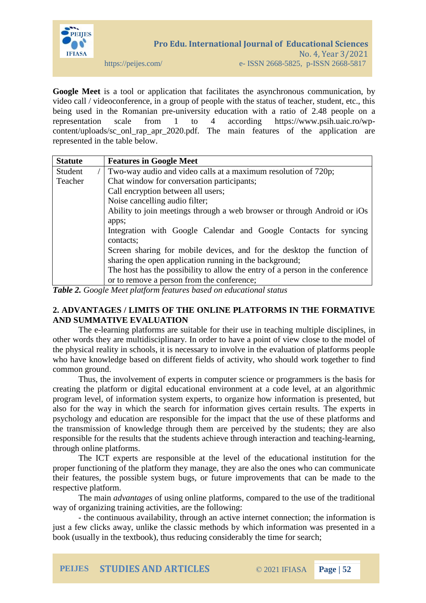

**Google Meet** is a tool or application that facilitates the asynchronous communication, by video call / videoconference, in a group of people with the status of teacher, student, etc., this being used in the Romanian pre-university education with a ratio of 2.48 people on a representation scale from 1 to 4 according https://www.psih.uaic.ro/wpcontent/uploads/sc\_onl\_rap\_apr\_2020.pdf. The main features of the application are represented in the table below.

| <b>Statute</b> | <b>Features in Google Meet</b>                                                |
|----------------|-------------------------------------------------------------------------------|
| Student        | Two-way audio and video calls at a maximum resolution of 720p;                |
| Teacher        | Chat window for conversation participants;                                    |
|                | Call encryption between all users;                                            |
|                | Noise cancelling audio filter;                                                |
|                | Ability to join meetings through a web browser or through Android or iOs      |
|                | apps;                                                                         |
|                | Integration with Google Calendar and Google Contacts for syncing              |
|                | contacts;                                                                     |
|                | Screen sharing for mobile devices, and for the desktop the function of        |
|                | sharing the open application running in the background;                       |
|                | The host has the possibility to allow the entry of a person in the conference |
|                | or to remove a person from the conference;                                    |

*Table 2. Google Meet platform features based on educational status*

## **2. ADVANTAGES / LIMITS OF THE ONLINE PLATFORMS IN THE FORMATIVE AND SUMMATIVE EVALUATION**

The e-learning platforms are suitable for their use in teaching multiple disciplines, in other words they are multidisciplinary. In order to have a point of view close to the model of the physical reality in schools, it is necessary to involve in the evaluation of platforms people who have knowledge based on different fields of activity, who should work together to find common ground.

Thus, the involvement of experts in computer science or programmers is the basis for creating the platform or digital educational environment at a code level, at an algorithmic program level, of information system experts, to organize how information is presented, but also for the way in which the search for information gives certain results. The experts in psychology and education are responsible for the impact that the use of these platforms and the transmission of knowledge through them are perceived by the students; they are also responsible for the results that the students achieve through interaction and teaching-learning, through online platforms.

The ICT experts are responsible at the level of the educational institution for the proper functioning of the platform they manage, they are also the ones who can communicate their features, the possible system bugs, or future improvements that can be made to the respective platform.

The main *advantages* of using online platforms, compared to the use of the traditional way of organizing training activities, are the following:

- the continuous availability, through an active internet connection; the information is just a few clicks away, unlike the classic methods by which information was presented in a book (usually in the textbook), thus reducing considerably the time for search;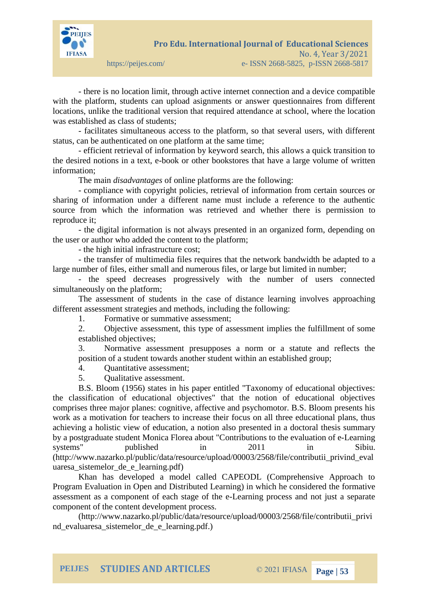

- there is no location limit, through active internet connection and a device compatible with the platform, students can upload asignments or answer questionnaires from different locations, unlike the traditional version that required attendance at school, where the location was established as class of students;

- facilitates simultaneous access to the platform, so that several users, with different status, can be authenticated on one platform at the same time;

- efficient retrieval of information by keyword search, this allows a quick transition to the desired notions in a text, e-book or other bookstores that have a large volume of written information;

The main *disadvantages* of online platforms are the following:

- compliance with copyright policies, retrieval of information from certain sources or sharing of information under a different name must include a reference to the authentic source from which the information was retrieved and whether there is permission to reproduce it;

- the digital information is not always presented in an organized form, depending on the user or author who added the content to the platform;

- the high initial infrastructure cost;

- the transfer of multimedia files requires that the network bandwidth be adapted to a large number of files, either small and numerous files, or large but limited in number;

- the speed decreases progressively with the number of users connected simultaneously on the platform;

The assessment of students in the case of distance learning involves approaching different assessment strategies and methods, including the following:

1. Formative or summative assessment;

2. Objective assessment, this type of assessment implies the fulfillment of some established objectives;

3. Normative assessment presupposes a norm or a statute and reflects the position of a student towards another student within an established group;

4. Quantitative assessment;

5. Qualitative assessment.

B.S. Bloom (1956) states in his paper entitled "Taxonomy of educational objectives: the classification of educational objectives" that the notion of educational objectives comprises three major planes: cognitive, affective and psychomotor. B.S. Bloom presents his work as a motivation for teachers to increase their focus on all three educational plans, thus achieving a holistic view of education, a notion also presented in a doctoral thesis summary by a postgraduate student Monica Florea about "Contributions to the evaluation of e-Learning systems" published in 2011 in Sibiu. (http://www.nazarko.pl/public/data/resource/upload/00003/2568/file/contributii\_privind\_eval uaresa sistemelor de e learning.pdf)

Khan has developed a model called CAPEODL (Comprehensive Approach to Program Evaluation in Open and Distributed Learning) in which he considered the formative assessment as a component of each stage of the e-Learning process and not just a separate component of the content development process.

(http://www.nazarko.pl/public/data/resource/upload/00003/2568/file/contributii\_privi nd evaluaresa sistemelor de e learning.pdf.)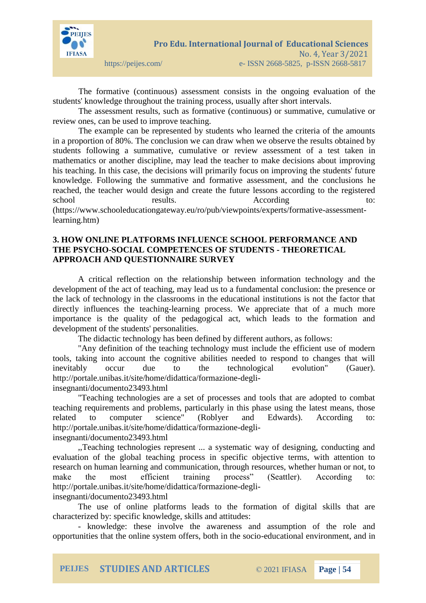

The formative (continuous) assessment consists in the ongoing evaluation of the students' knowledge throughout the training process, usually after short intervals.

The assessment results, such as formative (continuous) or summative, cumulative or review ones, can be used to improve teaching.

The example can be represented by students who learned the criteria of the amounts in a proportion of 80%. The conclusion we can draw when we observe the results obtained by students following a summative, cumulative or review assessment of a test taken in mathematics or another discipline, may lead the teacher to make decisions about improving his teaching. In this case, the decisions will primarily focus on improving the students' future knowledge. Following the summative and formative assessment, and the conclusions he reached, the teacher would design and create the future lessons according to the registered school results. According  $\alpha$ 

(https://www.schooleducationgateway.eu/ro/pub/viewpoints/experts/formative-assessmentlearning.htm)

### **3. HOW ONLINE PLATFORMS INFLUENCE SCHOOL PERFORMANCE AND THE PSYCHO-SOCIAL COMPETENCES OF STUDENTS - THEORETICAL APPROACH AND QUESTIONNAIRE SURVEY**

A critical reflection on the relationship between information technology and the development of the act of teaching, may lead us to a fundamental conclusion: the presence or the lack of technology in the classrooms in the educational institutions is not the factor that directly influences the teaching-learning process. We appreciate that of a much more importance is the quality of the pedagogical act, which leads to the formation and development of the students' personalities.

The didactic technology has been defined by different authors, as follows:

"Any definition of the teaching technology must include the efficient use of modern tools, taking into account the cognitive abilities needed to respond to changes that will inevitably occur due to the technological evolution" (Gauer). http://portale.unibas.it/site/home/didattica/formazione-degliinsegnanti/documento23493.html

"Teaching technologies are a set of processes and tools that are adopted to combat teaching requirements and problems, particularly in this phase using the latest means, those related to computer science" (Roblyer and Edwards). According to: http://portale.unibas.it/site/home/didattica/formazione-degli-

insegnanti/documento23493.html

,,Teaching technologies represent ... a systematic way of designing, conducting and evaluation of the global teaching process in specific objective terms, with attention to research on human learning and communication, through resources, whether human or not, to make the most efficient training process" (Seattler). According to: http://portale.unibas.it/site/home/didattica/formazione-degliinsegnanti/documento23493.html

The use of online platforms leads to the formation of digital skills that are characterized by: specific knowledge, skills and attitudes:

- knowledge: these involve the awareness and assumption of the role and opportunities that the online system offers, both in the socio-educational environment, and in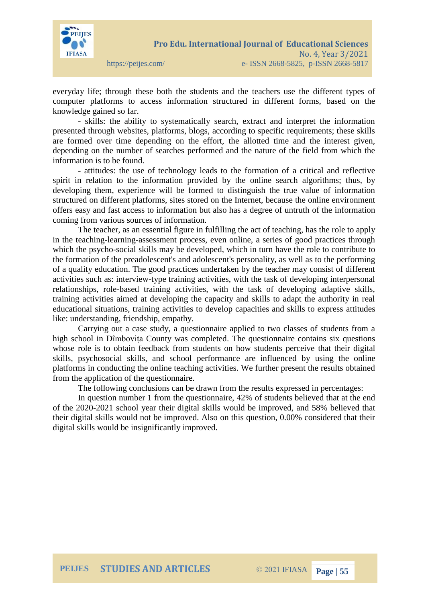

everyday life; through these both the students and the teachers use the different types of computer platforms to access information structured in different forms, based on the knowledge gained so far.

- skills: the ability to systematically search, extract and interpret the information presented through websites, platforms, blogs, according to specific requirements; these skills are formed over time depending on the effort, the allotted time and the interest given, depending on the number of searches performed and the nature of the field from which the information is to be found.

- attitudes: the use of technology leads to the formation of a critical and reflective spirit in relation to the information provided by the online search algorithms; thus, by developing them, experience will be formed to distinguish the true value of information structured on different platforms, sites stored on the Internet, because the online environment offers easy and fast access to information but also has a degree of untruth of the information coming from various sources of information.

The teacher, as an essential figure in fulfilling the act of teaching, has the role to apply in the teaching-learning-assessment process, even online, a series of good practices through which the psycho-social skills may be developed, which in turn have the role to contribute to the formation of the preadolescent's and adolescent's personality, as well as to the performing of a quality education. The good practices undertaken by the teacher may consist of different activities such as: interview-type training activities, with the task of developing interpersonal relationships, role-based training activities, with the task of developing adaptive skills, training activities aimed at developing the capacity and skills to adapt the authority in real educational situations, training activities to develop capacities and skills to express attitudes like: understanding, friendship, empathy.

Carrying out a case study, a questionnaire applied to two classes of students from a high school in Dîmbovița County was completed. The questionnaire contains six questions whose role is to obtain feedback from students on how students perceive that their digital skills, psychosocial skills, and school performance are influenced by using the online platforms in conducting the online teaching activities. We further present the results obtained from the application of the questionnaire.

The following conclusions can be drawn from the results expressed in percentages:

In question number 1 from the questionnaire, 42% of students believed that at the end of the 2020-2021 school year their digital skills would be improved, and 58% believed that their digital skills would not be improved. Also on this question, 0.00% considered that their digital skills would be insignificantly improved.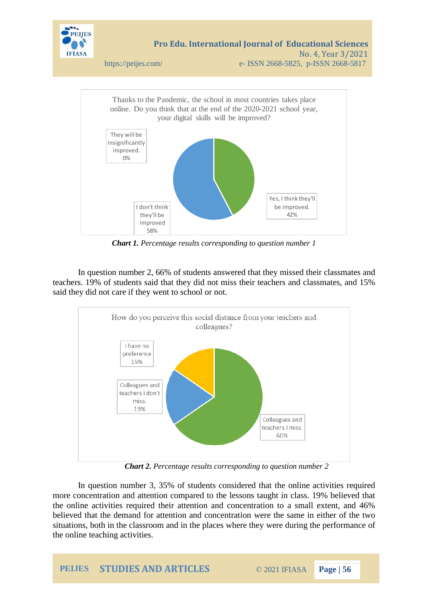



*Chart 1. Percentage results corresponding to question number 1*

In question number 2, 66% of students answered that they missed their classmates and teachers. 19% of students said that they did not miss their teachers and classmates, and 15% said they did not care if they went to school or not.



*Chart 2. Percentage results corresponding to question number 2*

In question number 3, 35% of students considered that the online activities required more concentration and attention compared to the lessons taught in class. 19% believed that the online activities required their attention and concentration to a small extent, and 46% believed that the demand for attention and concentration were the same in either of the two situations, both in the classroom and in the places where they were during the performance of the online teaching activities.

**PEIJES STUDIES AND ARTICLES** © 2021 IFIASA **Page | 56**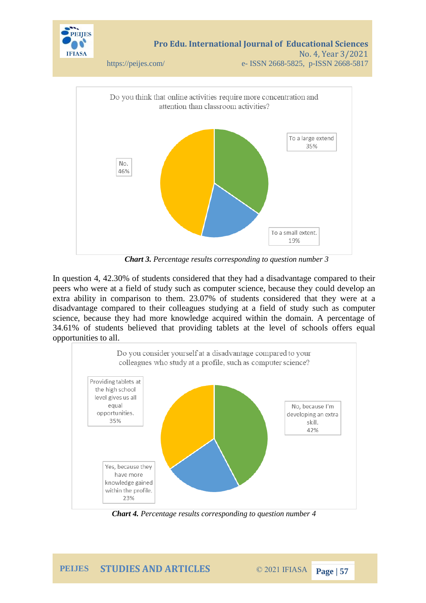

*Chart 3. Percentage results corresponding to question number 3*

In question 4, 42.30% of students considered that they had a disadvantage compared to their peers who were at a field of study such as computer science, because they could develop an extra ability in comparison to them. 23.07% of students considered that they were at a disadvantage compared to their colleagues studying at a field of study such as computer science, because they had more knowledge acquired within the domain. A percentage of 34.61% of students believed that providing tablets at the level of schools offers equal opportunities to all.



*Chart 4. Percentage results corresponding to question number 4*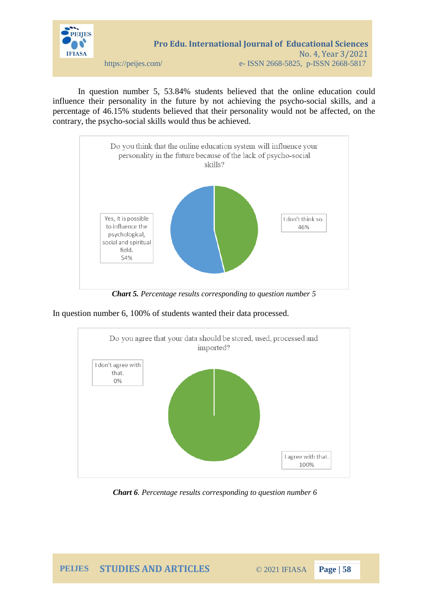

In question number 5, 53.84% students believed that the online education could influence their personality in the future by not achieving the psycho-social skills, and a percentage of 46.15% students believed that their personality would not be affected, on the contrary, the psycho-social skills would thus be achieved.



*Chart 5. Percentage results corresponding to question number 5*

In question number 6, 100% of students wanted their data processed.



*Chart 6. Percentage results corresponding to question number 6*

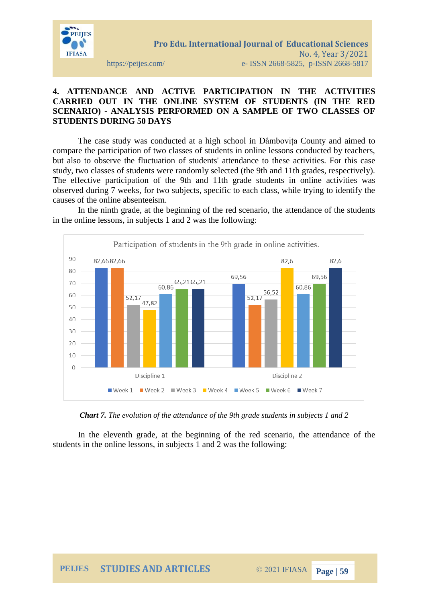

**STUDENTS DURING 50 DAYS**

# **4. ATTENDANCE AND ACTIVE PARTICIPATION IN THE ACTIVITIES CARRIED OUT IN THE ONLINE SYSTEM OF STUDENTS (IN THE RED SCENARIO) - ANALYSIS PERFORMED ON A SAMPLE OF TWO CLASSES OF**

The case study was conducted at a high school in Dâmbovița County and aimed to compare the participation of two classes of students in online lessons conducted by teachers, but also to observe the fluctuation of students' attendance to these activities. For this case study, two classes of students were randomly selected (the 9th and 11th grades, respectively). The effective participation of the 9th and 11th grade students in online activities was observed during 7 weeks, for two subjects, specific to each class, while trying to identify the causes of the online absenteeism.

In the ninth grade, at the beginning of the red scenario, the attendance of the students in the online lessons, in subjects 1 and 2 was the following:



*Chart 7. The evolution of the attendance of the 9th grade students in subjects 1 and 2*

In the eleventh grade, at the beginning of the red scenario, the attendance of the students in the online lessons, in subjects 1 and 2 was the following: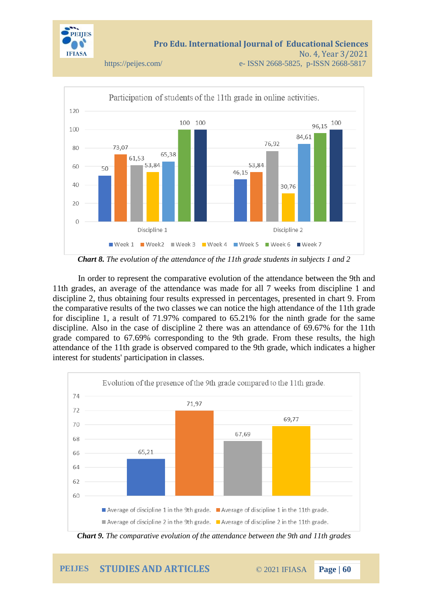





In order to represent the comparative evolution of the attendance between the 9th and 11th grades, an average of the attendance was made for all 7 weeks from discipline 1 and discipline 2, thus obtaining four results expressed in percentages, presented in chart 9. From the comparative results of the two classes we can notice the high attendance of the 11th grade for discipline 1, a result of 71.97% compared to 65.21% for the ninth grade for the same discipline. Also in the case of discipline 2 there was an attendance of 69.67% for the 11th grade compared to 67.69% corresponding to the 9th grade. From these results, the high attendance of the 11th grade is observed compared to the 9th grade, which indicates a higher interest for students' participation in classes.



*Chart 9. The comparative evolution of the attendance between the 9th and 11th grades*